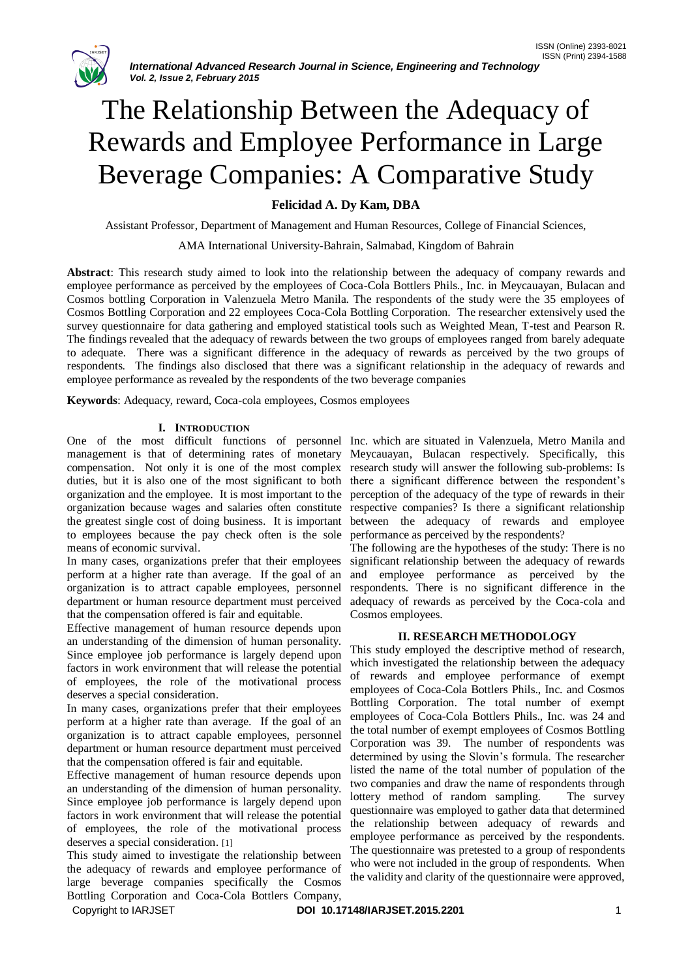

# The Relationship Between the Adequacy of Rewards and Employee Performance in Large Beverage Companies: A Comparative Study

# **Felicidad A. Dy Kam, DBA**

Assistant Professor, Department of Management and Human Resources, College of Financial Sciences,

AMA International University-Bahrain, Salmabad, Kingdom of Bahrain

**Abstract**: This research study aimed to look into the relationship between the adequacy of company rewards and employee performance as perceived by the employees of Coca-Cola Bottlers Phils., Inc. in Meycauayan, Bulacan and Cosmos bottling Corporation in Valenzuela Metro Manila. The respondents of the study were the 35 employees of Cosmos Bottling Corporation and 22 employees Coca-Cola Bottling Corporation. The researcher extensively used the survey questionnaire for data gathering and employed statistical tools such as Weighted Mean, T-test and Pearson R. The findings revealed that the adequacy of rewards between the two groups of employees ranged from barely adequate to adequate. There was a significant difference in the adequacy of rewards as perceived by the two groups of respondents. The findings also disclosed that there was a significant relationship in the adequacy of rewards and employee performance as revealed by the respondents of the two beverage companies

**Keywords**: Adequacy, reward, Coca-cola employees, Cosmos employees

# **I. INTRODUCTION**

One of the most difficult functions of personnel Inc. which are situated in Valenzuela, Metro Manila and management is that of determining rates of monetary Meycauayan, Bulacan respectively. Specifically, this compensation. Not only it is one of the most complex research study will answer the following sub-problems: Is duties, but it is also one of the most significant to both there a significant difference between the respondent's organization and the employee. It is most important to the perception of the adequacy of the type of rewards in their organization because wages and salaries often constitute respective companies? Is there a significant relationship the greatest single cost of doing business. It is important between the adequacy of rewards and employee to employees because the pay check often is the sole means of economic survival.

In many cases, organizations prefer that their employees perform at a higher rate than average. If the goal of an organization is to attract capable employees, personnel department or human resource department must perceived that the compensation offered is fair and equitable.

Effective management of human resource depends upon an understanding of the dimension of human personality. Since employee job performance is largely depend upon factors in work environment that will release the potential of employees, the role of the motivational process deserves a special consideration.

In many cases, organizations prefer that their employees perform at a higher rate than average. If the goal of an organization is to attract capable employees, personnel department or human resource department must perceived that the compensation offered is fair and equitable.

Effective management of human resource depends upon an understanding of the dimension of human personality. Since employee job performance is largely depend upon factors in work environment that will release the potential of employees, the role of the motivational process deserves a special consideration. [1]

This study aimed to investigate the relationship between the adequacy of rewards and employee performance of large beverage companies specifically the Cosmos Bottling Corporation and Coca-Cola Bottlers Company,

performance as perceived by the respondents?

The following are the hypotheses of the study: There is no significant relationship between the adequacy of rewards and employee performance as perceived by the respondents. There is no significant difference in the adequacy of rewards as perceived by the Coca-cola and Cosmos employees.

# **II. RESEARCH METHODOLOGY**

This study employed the descriptive method of research, which investigated the relationship between the adequacy of rewards and employee performance of exempt employees of Coca-Cola Bottlers Phils., Inc. and Cosmos Bottling Corporation. The total number of exempt employees of Coca-Cola Bottlers Phils., Inc. was 24 and the total number of exempt employees of Cosmos Bottling Corporation was 39. The number of respondents was determined by using the Slovin's formula. The researcher listed the name of the total number of population of the two companies and draw the name of respondents through lottery method of random sampling. The survey questionnaire was employed to gather data that determined the relationship between adequacy of rewards and employee performance as perceived by the respondents. The questionnaire was pretested to a group of respondents who were not included in the group of respondents. When the validity and clarity of the questionnaire were approved,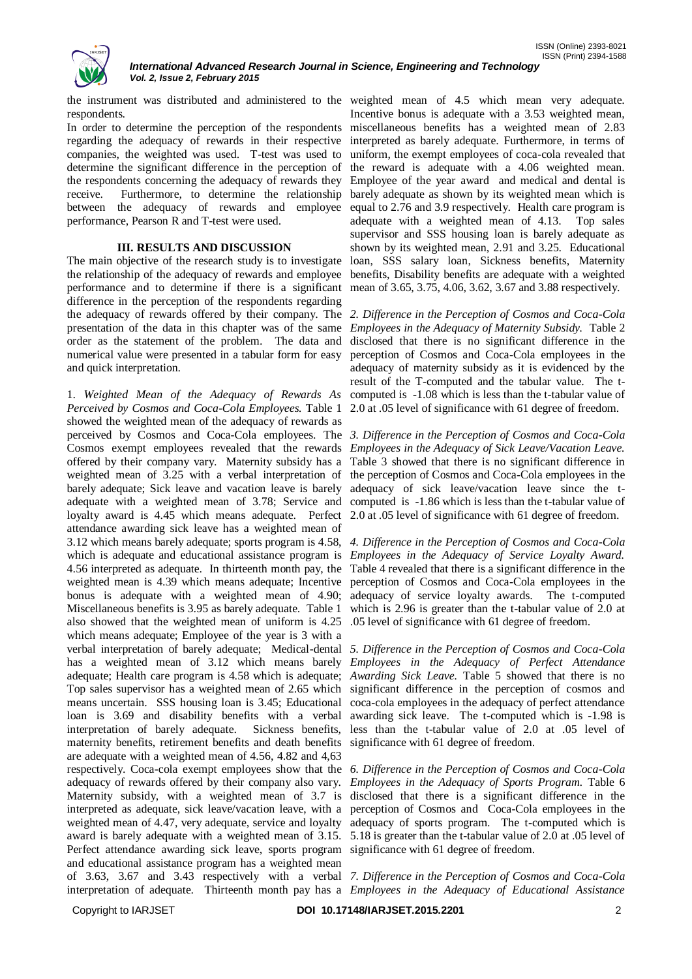

the instrument was distributed and administered to the weighted mean of 4.5 which mean very adequate. respondents.

In order to determine the perception of the respondents regarding the adequacy of rewards in their respective companies, the weighted was used. T-test was used to determine the significant difference in the perception of the respondents concerning the adequacy of rewards they receive. Furthermore, to determine the relationship between the adequacy of rewards and employee performance, Pearson R and T-test were used.

# **III. RESULTS AND DISCUSSION**

The main objective of the research study is to investigate the relationship of the adequacy of rewards and employee performance and to determine if there is a significant mean of 3.65, 3.75, 4.06, 3.62, 3.67 and 3.88 respectively. difference in the perception of the respondents regarding the adequacy of rewards offered by their company. The *2. Difference in the Perception of Cosmos and Coca-Cola*  presentation of the data in this chapter was of the same *Employees in the Adequacy of Maternity Subsidy.* Table 2 order as the statement of the problem. The data and numerical value were presented in a tabular form for easy and quick interpretation.

1. *Weighted Mean of the Adequacy of Rewards As*  computed is -1.08 which is less than the t-tabular value of *Perceived by Cosmos and Coca-Cola Employees.* Table 1 2.0 at .05 level of significance with 61 degree of freedom. showed the weighted mean of the adequacy of rewards as perceived by Cosmos and Coca-Cola employees. The *3. Difference in the Perception of Cosmos and Coca-Cola*  Cosmos exempt employees revealed that the rewards *Employees in the Adequacy of Sick Leave/Vacation Leave.*  offered by their company vary. Maternity subsidy has a Table 3 showed that there is no significant difference in weighted mean of 3.25 with a verbal interpretation of the perception of Cosmos and Coca-Cola employees in the barely adequate; Sick leave and vacation leave is barely adequacy of sick leave/vacation leave since the tadequate with a weighted mean of 3.78; Service and computed is -1.86 which is less than the t-tabular value of loyalty award is 4.45 which means adequate. Perfect 2.0 at 0.05 level of significance with 61 degree of freedom. attendance awarding sick leave has a weighted mean of 3.12 which means barely adequate; sports program is 4.58, *4. Difference in the Perception of Cosmos and Coca-Cola*  which is adequate and educational assistance program is *Employees in the Adequacy of Service Loyalty Award.* 4.56 interpreted as adequate. In thirteenth month pay, the Table 4 revealed that there is a significant difference in the weighted mean is 4.39 which means adequate; Incentive bonus is adequate with a weighted mean of 4.90; adequacy of service loyalty awards. The t-computed Miscellaneous benefits is 3.95 as barely adequate. Table 1 also showed that the weighted mean of uniform is 4.25 which means adequate; Employee of the year is 3 with a verbal interpretation of barely adequate; Medical-dental *5. Difference in the Perception of Cosmos and Coca-Cola*  has a weighted mean of 3.12 which means barely *Employees in the Adequacy of Perfect Attendance*  adequate; Health care program is 4.58 which is adequate; *Awarding Sick Leave.* Table 5 showed that there is no Top sales supervisor has a weighted mean of 2.65 which significant difference in the perception of cosmos and means uncertain. SSS housing loan is 3.45; Educational loan is 3.69 and disability benefits with a verbal awarding sick leave. The t-computed which is -1.98 is interpretation of barely adequate. Sickness benefits, maternity benefits, retirement benefits and death benefits significance with 61 degree of freedom. are adequate with a weighted mean of 4.56, 4.82 and 4,63 respectively. Coca-cola exempt employees show that the *6. Difference in the Perception of Cosmos and Coca-Cola*  adequacy of rewards offered by their company also vary. *Employees in the Adequacy of Sports Program.* Table 6 Maternity subsidy, with a weighted mean of 3.7 is disclosed that there is a significant difference in the interpreted as adequate, sick leave/vacation leave, with a perception of Cosmos and Coca-Cola employees in the weighted mean of 4.47, very adequate, service and loyalty adequacy of sports program. The t-computed which is award is barely adequate with a weighted mean of 3.15. 5.18 is greater than the t-tabular value of 2.0 at .05 level of Perfect attendance awarding sick leave, sports program significance with 61 degree of freedom. and educational assistance program has a weighted mean of 3.63, 3.67 and 3.43 respectively with a verbal *7. Difference in the Perception of Cosmos and Coca-Cola*  interpretation of adequate. Thirteenth month pay has a *Employees in the Adequacy of Educational Assistance* 

Incentive bonus is adequate with a 3.53 weighted mean, miscellaneous benefits has a weighted mean of 2.83 interpreted as barely adequate. Furthermore, in terms of uniform, the exempt employees of coca-cola revealed that the reward is adequate with a 4.06 weighted mean. Employee of the year award and medical and dental is barely adequate as shown by its weighted mean which is equal to 2.76 and 3.9 respectively. Health care program is adequate with a weighted mean of 4.13. Top sales supervisor and SSS housing loan is barely adequate as shown by its weighted mean, 2.91 and 3.25. Educational loan, SSS salary loan, Sickness benefits, Maternity benefits, Disability benefits are adequate with a weighted

disclosed that there is no significant difference in the perception of Cosmos and Coca-Cola employees in the adequacy of maternity subsidy as it is evidenced by the result of the T-computed and the tabular value. The t-

perception of Cosmos and Coca-Cola employees in the which is 2.96 is greater than the t-tabular value of 2.0 at .05 level of significance with 61 degree of freedom.

coca-cola employees in the adequacy of perfect attendance less than the t-tabular value of 2.0 at .05 level of

Copyright to IARJSET **DOI 10.17148/IARJSET.2015.2201** 2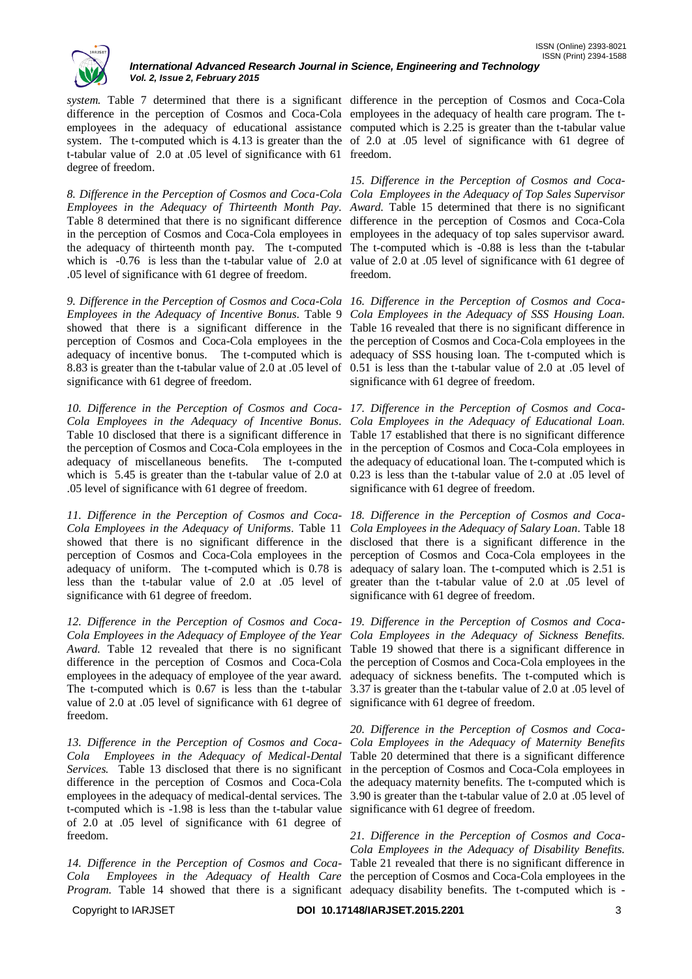

*system.* Table 7 determined that there is a significant difference in the perception of Cosmos and Coca-Cola difference in the perception of Cosmos and Coca-Cola employees in the adequacy of health care program. The temployees in the adequacy of educational assistance computed which is 2.25 is greater than the t-tabular value system. The t-computed which is 4.13 is greater than the of 2.0 at .05 level of significance with 61 degree of t-tabular value of 2.0 at .05 level of significance with 61 freedom. degree of freedom.

8. Difference in the Perception of Cosmos and Coca-Cola Cola Employees in the Adequacy of Top Sales Supervisor *Employees in the Adequacy of Thirteenth Month Pay. Award. Table 15 determined that there is no significant* Table 8 determined that there is no significant difference difference in the perception of Cosmos and Coca-Cola in the perception of Cosmos and Coca-Cola employees in employees in the adequacy of top sales supervisor award. the adequacy of thirteenth month pay. The t-computed The t-computed which is -0.88 is less than the t-tabular which is -0.76 is less than the t-tabular value of 2.0 at value of 2.0 at .05 level of significance with 61 degree of .05 level of significance with 61 degree of freedom.

*9. Difference in the Perception of Cosmos and Coca-Cola 16. Difference in the Perception of Cosmos and Coca-Employees in the Adequacy of Incentive Bonus.* Table 9 showed that there is a significant difference in the Table 16 revealed that there is no significant difference in perception of Cosmos and Coca-Cola employees in the the perception of Cosmos and Coca-Cola employees in the adequacy of incentive bonus. The t-computed which is adequacy of SSS housing loan. The t-computed which is 8.83 is greater than the t-tabular value of 2.0 at .05 level of 0.51 is less than the t-tabular value of 2.0 at .05 level of significance with 61 degree of freedom.

*10. Difference in the Perception of Cosmos and Coca-17. Difference in the Perception of Cosmos and Coca-Cola Employees in the Adequacy of Incentive Bonus. Cola Employees in the Adequacy of Educational Loan.*  Table 10 disclosed that there is a significant difference in Table 17 established that there is no significant difference the perception of Cosmos and Coca-Cola employees in the in the perception of Cosmos and Coca-Cola employees in adequacy of miscellaneous benefits. The t-computed the adequacy of educational loan. The t-computed which is which is 5.45 is greater than the t-tabular value of 2.0 at 0.23 is less than the t-tabular value of 2.0 at .05 level of .05 level of significance with 61 degree of freedom.

*11. Difference in the Perception of Cosmos and Coca-18. Difference in the Perception of Cosmos and Coca-Cola Employees in the Adequacy of Uniforms.* Table 11 showed that there is no significant difference in the disclosed that there is a significant difference in the perception of Cosmos and Coca-Cola employees in the adequacy of uniform. The t-computed which is 0.78 is less than the t-tabular value of 2.0 at .05 level of significance with 61 degree of freedom.

*12. Difference in the Perception of Cosmos and Coca-19. Difference in the Perception of Cosmos and Coca-Cola Employees in the Adequacy of Employee of the Year Cola Employees in the Adequacy of Sickness Benefits.*  Award. Table 12 revealed that there is no significant Table 19 showed that there is a significant difference in difference in the perception of Cosmos and Coca-Cola the perception of Cosmos and Coca-Cola employees in the employees in the adequacy of employee of the year award. The t-computed which is 0.67 is less than the t-tabular 3.37 is greater than the t-tabular value of 2.0 at .05 level of value of 2.0 at .05 level of significance with 61 degree of significance with 61 degree of freedom. freedom.

*13. Difference in the Perception of Cosmos and Coca-Cola Employees in the Adequacy of Maternity Benefits Cola Employees in the Adequacy of Medical-Dental*  Table 20 determined that there is a significant difference employees in the adequacy of medical-dental services. The 3.90 is greater than the t-tabular value of 2.0 at .05 level of t-computed which is -1.98 is less than the t-tabular value significance with 61 degree of freedom. of 2.0 at .05 level of significance with 61 degree of freedom.

Program. Table 14 showed that there is a significant adequacy disability benefits. The t-computed which is -

*15. Difference in the Perception of Cosmos and Coca*freedom*.*

*Cola Employees in the Adequacy of SSS Housing Loan.*  significance with 61 degree of freedom.

significance with 61 degree of freedom.

*Cola Employees in the Adequacy of Salary Loan.* Table 18 perception of Cosmos and Coca-Cola employees in the adequacy of salary loan. The t-computed which is 2.51 is greater than the t-tabular value of 2.0 at .05 level of significance with 61 degree of freedom.

adequacy of sickness benefits. The t-computed which is

Services. Table 13 disclosed that there is no significant in the perception of Cosmos and Coca-Cola employees in difference in the perception of Cosmos and Coca-Cola the adequacy maternity benefits. The t-computed which is *20. Difference in the Perception of Cosmos and Coca-*

*14. Difference in the Perception of Cosmos and Coca-*Table 21 revealed that there is no significant difference in *Cola Employees in the Adequacy of Health Care*  the perception of Cosmos and Coca-Cola employees in the *21. Difference in the Perception of Cosmos and Coca-Cola Employees in the Adequacy of Disability Benefits.* 

Copyright to IARJSET **DOI 10.17148/IARJSET.2015.2201** 3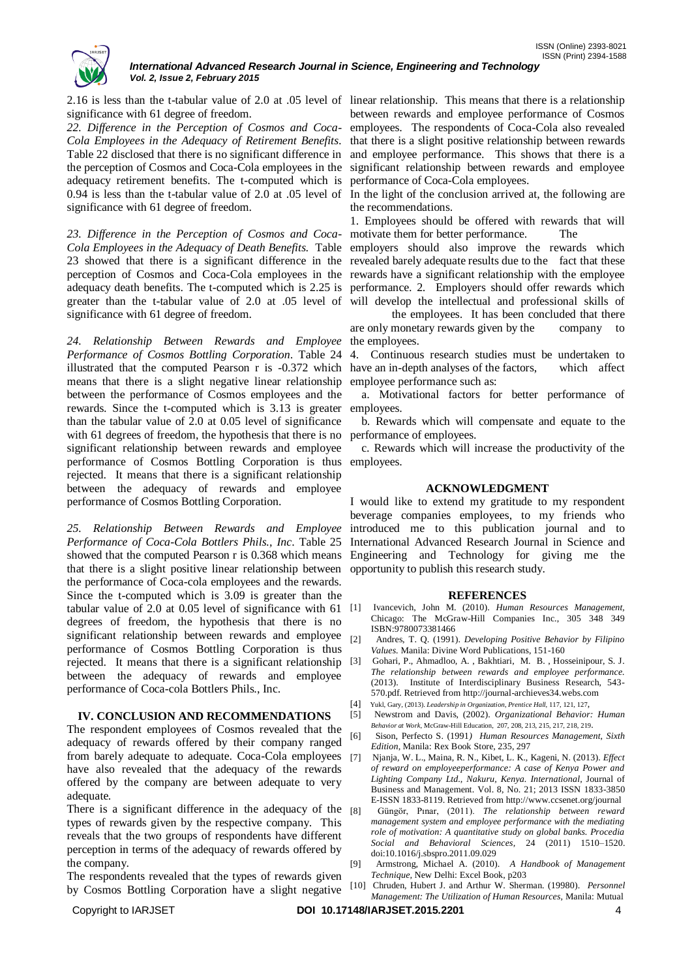

significance with 61 degree of freedom.

*22. Difference in the Perception of Cosmos and Coca-Cola Employees in the Adequacy of Retirement Benefits.*  Table 22 disclosed that there is no significant difference in the perception of Cosmos and Coca-Cola employees in the adequacy retirement benefits. The t-computed which is 0.94 is less than the t-tabular value of 2.0 at .05 level of significance with 61 degree of freedom.

*23. Difference in the Perception of Cosmos and Coca-*Cola Employees in the Adequacy of Death Benefits. Table employers should also improve the rewards which 23 showed that there is a significant difference in the revealed barely adequate results due to the fact that these perception of Cosmos and Coca-Cola employees in the rewards have a significant relationship with the employee adequacy death benefits. The t-computed which is 2.25 is performance. 2. Employers should offer rewards which greater than the t-tabular value of 2.0 at .05 level of will develop the intellectual and professional skills of significance with 61 degree of freedom.

*24. Relationship Between Rewards and Employee Performance of Cosmos Bottling Corporation.* Table 24 illustrated that the computed Pearson r is -0.372 which have an in-depth analyses of the factors, which affect means that there is a slight negative linear relationship between the performance of Cosmos employees and the rewards. Since the t-computed which is 3.13 is greater employees. than the tabular value of 2.0 at 0.05 level of significance with 61 degrees of freedom, the hypothesis that there is no significant relationship between rewards and employee performance of Cosmos Bottling Corporation is thus employees. rejected. It means that there is a significant relationship between the adequacy of rewards and employee performance of Cosmos Bottling Corporation.

*25. Relationship Between Rewards and Employee Performance of Coca-Cola Bottlers Phils., Inc*. Table 25 showed that the computed Pearson r is 0.368 which means that there is a slight positive linear relationship between the performance of Coca-cola employees and the rewards. Since the t-computed which is 3.09 is greater than the tabular value of 2.0 at  $0.05$  level of significance with  $61$  [1] degrees of freedom, the hypothesis that there is no significant relationship between rewards and employee performance of Cosmos Bottling Corporation is thus rejected. It means that there is a significant relationship between the adequacy of rewards and employee performance of Coca-cola Bottlers Phils., Inc.

# **IV. CONCLUSION AND RECOMMENDATIONS**

The respondent employees of Cosmos revealed that the adequacy of rewards offered by their company ranged from barely adequate to adequate. Coca-Cola employees have also revealed that the adequacy of the rewards offered by the company are between adequate to very adequate.

There is a significant difference in the adequacy of the [8] types of rewards given by the respective company. This reveals that the two groups of respondents have different perception in terms of the adequacy of rewards offered by the company.

The respondents revealed that the types of rewards given by Cosmos Bottling Corporation have a slight negative

2.16 is less than the t-tabular value of 2.0 at .05 level of linear relationship. This means that there is a relationship between rewards and employee performance of Cosmos employees. The respondents of Coca-Cola also revealed that there is a slight positive relationship between rewards and employee performance. This shows that there is a significant relationship between rewards and employee performance of Coca-Cola employees.

> In the light of the conclusion arrived at, the following are the recommendations.

> 1. Employees should be offered with rewards that will motivate them for better performance. The

the employees. It has been concluded that there are only monetary rewards given by the company to the employees.

4. Continuous research studies must be undertaken to employee performance such as:

a. Motivational factors for better performance of

 b. Rewards which will compensate and equate to the performance of employees.

c. Rewards which will increase the productivity of the

#### **ACKNOWLEDGMENT**

I would like to extend my gratitude to my respondent beverage companies employees, to my friends who introduced me to this publication journal and to International Advanced Research Journal in Science and Engineering and Technology for giving me the opportunity to publish this research study.

#### **REFERENCES**

- [1] Ivancevich, John M. (2010). *Human Resources Management,* Chicago: The McGraw-Hill Companies Inc., 305 348 349 ISBN:9780073381466
- [2] Andres, T. Q. (1991). *Developing Positive Behavior by Filipino Values.* Manila: Divine Word Publications, 151-160
- [3] Gohari, P., Ahmadloo, A. , Bakhtiari, M. B. , Hosseinipour, S. J. *The relationship between rewards and employee performance.*  (2013). Institute of Interdisciplinary Business Research, 543- 570.pdf. Retrieved from http://journal-archieves34.webs.com
- [4] Yukl, Gary, (2013). *Leadership in Organization, Prentice Hall*, 117, 121, 127,
- [5] Newstrom and Davis, (2002). *Organizational Behavior: Human Behavior at Work,* McGraw-Hill Education, 207, 208, 213, 215, 217, 218, 219.
- [6] Sison, Perfecto S. (1991*) Human Resources Management, Sixth Edition*, Manila: Rex Book Store, 235, 297
- [7] Njanja, W. L., Maina, R. N., Kibet, L. K., Kageni, N. (2013). *Effect of reward on employeeperformance: A case of Kenya Power and Lighting Company Ltd., Nakuru, Kenya. International,* Journal of Business and Management. Vol. 8, No. 21; 2013 ISSN 1833-3850 E-ISSN 1833-8119. Retrieved from http://www.ccsenet.org/journal
- [8] Güngör, Pınar, (2011). *The relationship between reward management system and employee performance with the mediating role of motivation: A quantitative study on global banks. Procedia Social and Behavioral Sciences,* 24 (2011) 1510–1520. doi:10.1016/j.sbspro.2011.09.029
- [9] Armstrong, Michael A. (2010). *A Handbook of Management Technique,* New Delhi: Excel Book, p203
- [10] Chruden, Hubert J. and Arthur W. Sherman. (19980). *Personnel Management: The Utilization of Human Resources,* Manila: Mutual

Copyright to IARJSET **DOI 10.17148/IARJSET.2015.2201** 4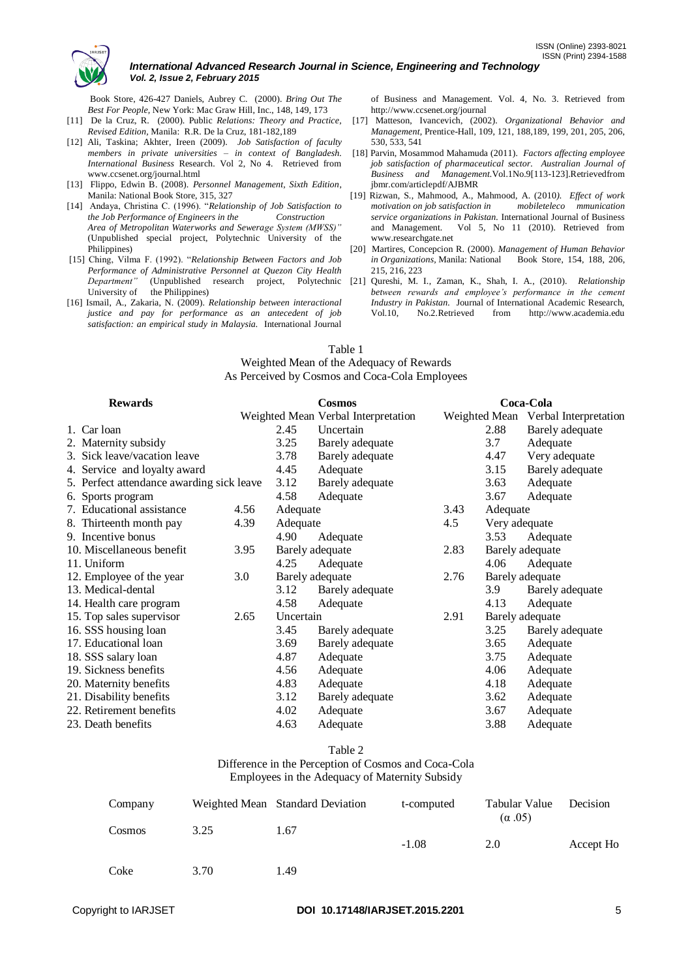

 Book Store, 426-427 Daniels, Aubrey C. (2000). *Bring Out The Best For People,* New York: Mac Graw Hill, Inc., 148, 149, 173

- [11] De la Cruz, R. (2000). Public *Relations: Theory and Practice, Revised Edition,* Manila: R.R. De la Cruz, 181-182,189
- [12] Ali, Taskina; Akhter, Ireen (2009). *Job Satisfaction of faculty members in private universities – in context of Bangladesh. International Business* Research. Vol 2, No 4. Retrieved from www.ccsenet.org/journal.html
- [13] Flippo, Edwin B. (2008). *Personnel Management, Sixth Edition*, Manila: National Book Store, 315, 327
- [14] Andaya, Christina C. (1996). "*Relationship of Job Satisfaction to the Job Performance of Engineers in the Construction Area of Metropolitan Waterworks and Sewerage System (MWSS)"* (Unpublished special project, Polytechnic University of the Philippines)
- [15] Ching, Vilma F. (1992). "*Relationship Between Factors and Job Performance of Administrative Personnel at Quezon City Health Department"* (Unpublished research project, Polytechnic University of the Philippines)
- [16] Ismail, A., Zakaria, N. (2009). *Relationship between interactional justice and pay for performance as an antecedent of job satisfaction: an empirical study in Malaysia.* International Journal

of Business and Management. Vol. 4, No. 3. Retrieved from http://www.ccsenet.org/journal

- [17] Matteson, Ivancevich, (2002). *Organizational Behavior and Management*, Prentice-Hall, 109, 121, 188,189, 199, 201, 205, 206, 530, 533, 541
- [18] Parvin, Mosammod Mahamuda (2011). *Factors affecting employee job satisfaction of pharmaceutical sector. Australian Journal of Business and Management.*Vol.1No.9[113-123].Retrievedfrom jbmr.com/articlepdf/AJBMR
- [19] Rizwan, S., Mahmood, A., Mahmood, A. (2010*). Effect of work motivation on job satisfaction in mobileteleco mmunication service organizations in Pakistan.* International Journal of Business and Management. Vol 5, No 11 (2010). Retrieved from www.researchgate.net
- [20] Martires, Concepcion R. (2000). *Management of Human Behavior in Organizations,* Manila: National Book Store, 154, 188, 206, 215, 216, 223
- [21] Qureshi, M. I., Zaman, K., Shah, I. A., (2010). *Relationship between rewards and employee's performance in the cement Industry in Pakistan.* Journal of International Academic Research, Vol.10, No.2.Retrieved from http://www.academia.edu

#### Table 1

Weighted Mean of the Adequacy of Rewards As Perceived by Cosmos and Coca-Cola Employees

| <b>Rewards</b>                            |      | <b>Cosmos</b> |                                     | Coca-Cola |                 |                                     |
|-------------------------------------------|------|---------------|-------------------------------------|-----------|-----------------|-------------------------------------|
|                                           |      |               | Weighted Mean Verbal Interpretation |           |                 | Weighted Mean Verbal Interpretation |
| 1. Car loan                               |      | 2.45          | Uncertain                           |           | 2.88            | Barely adequate                     |
| 2. Maternity subsidy                      |      | 3.25          | Barely adequate                     |           | 3.7             | Adequate                            |
| 3. Sick leave/vacation leave              |      | 3.78          | Barely adequate                     |           | 4.47            | Very adequate                       |
| 4. Service and loyalty award              |      | 4.45          | Adequate                            |           | 3.15            | Barely adequate                     |
| 5. Perfect attendance awarding sick leave |      | 3.12          | Barely adequate                     |           | 3.63            | Adequate                            |
| 6. Sports program                         |      | 4.58          | Adequate                            |           | 3.67            | Adequate                            |
| 7. Educational assistance                 | 4.56 | Adequate      |                                     | 3.43      | Adequate        |                                     |
| 8. Thirteenth month pay                   | 4.39 | Adequate      |                                     | 4.5       | Very adequate   |                                     |
| 9. Incentive bonus                        |      | 4.90          | Adequate                            |           | 3.53            | Adequate                            |
| 10. Miscellaneous benefit                 | 3.95 |               | Barely adequate                     | 2.83      |                 | Barely adequate                     |
| 11. Uniform                               |      | 4.25          | Adequate                            |           | 4.06            | Adequate                            |
| 12. Employee of the year                  | 3.0  |               | Barely adequate                     | 2.76      |                 | Barely adequate                     |
| 13. Medical-dental                        |      | 3.12          | Barely adequate                     |           | 3.9             | Barely adequate                     |
| 14. Health care program                   |      | 4.58          | Adequate                            |           | 4.13            | Adequate                            |
| 15. Top sales supervisor                  | 2.65 | Uncertain     |                                     | 2.91      | Barely adequate |                                     |
| 16. SSS housing loan                      |      | 3.45          | Barely adequate                     |           | 3.25            | Barely adequate                     |
| 17. Educational loan                      |      | 3.69          | Barely adequate                     |           | 3.65            | Adequate                            |
| 18. SSS salary loan                       |      | 4.87          | Adequate                            |           | 3.75            | Adequate                            |
| 19. Sickness benefits                     |      | 4.56          | Adequate                            |           | 4.06            | Adequate                            |
| 20. Maternity benefits                    |      | 4.83          | Adequate                            |           | 4.18            | Adequate                            |
| 21. Disability benefits                   |      | 3.12          | Barely adequate                     |           | 3.62            | Adequate                            |
| 22. Retirement benefits                   |      | 4.02          | Adequate                            |           | 3.67            | Adequate                            |
| 23. Death benefits                        |      | 4.63          | Adequate                            |           | 3.88            | Adequate                            |

#### Table 2

Difference in the Perception of Cosmos and Coca-Cola

Employees in the Adequacy of Maternity Subsidy

| Company |      | Weighted Mean Standard Deviation | t-computed | Tabular Value<br>$(\alpha.05)$ | Decision  |
|---------|------|----------------------------------|------------|--------------------------------|-----------|
| Cosmos  | 3.25 | 1.67                             | $-1.08$    | 2.0                            | Accept Ho |
| Coke    | 3.70 | 1.49                             |            |                                |           |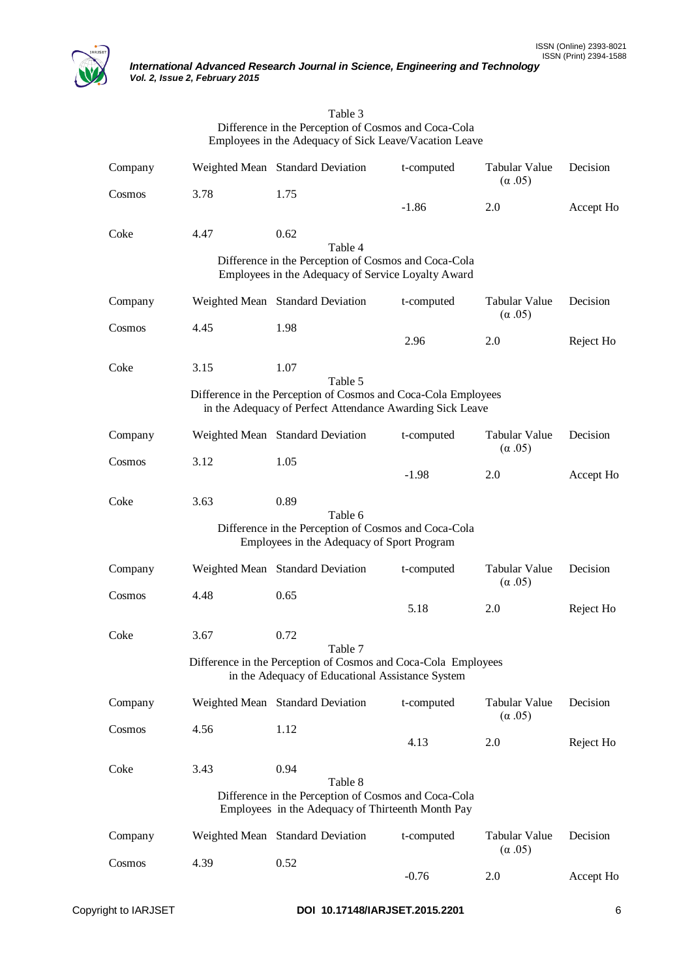

| Table 3                                                |
|--------------------------------------------------------|
| Difference in the Perception of Cosmos and Coca-Cola   |
| Employees in the Adequacy of Sick Leave/Vacation Leave |

| Company |      | Weighted Mean Standard Deviation                                                                                            | t-computed | Tabular Value<br>$(\alpha.05)$ | Decision  |
|---------|------|-----------------------------------------------------------------------------------------------------------------------------|------------|--------------------------------|-----------|
| Cosmos  | 3.78 | 1.75                                                                                                                        | $-1.86$    | 2.0                            | Accept Ho |
| Coke    | 4.47 | 0.62<br>Table 4                                                                                                             |            |                                |           |
|         |      | Difference in the Perception of Cosmos and Coca-Cola<br>Employees in the Adequacy of Service Loyalty Award                  |            |                                |           |
| Company |      | Weighted Mean Standard Deviation                                                                                            | t-computed | Tabular Value<br>$(\alpha.05)$ | Decision  |
| Cosmos  | 4.45 | 1.98                                                                                                                        | 2.96       | 2.0                            | Reject Ho |
| Coke    | 3.15 | 1.07<br>Table 5                                                                                                             |            |                                |           |
|         |      | Difference in the Perception of Cosmos and Coca-Cola Employees<br>in the Adequacy of Perfect Attendance Awarding Sick Leave |            |                                |           |
| Company |      | Weighted Mean Standard Deviation                                                                                            | t-computed | Tabular Value<br>$(\alpha.05)$ | Decision  |
| Cosmos  | 3.12 | 1.05                                                                                                                        | $-1.98$    | 2.0                            | Accept Ho |
| Coke    | 3.63 | 0.89<br>Table 6                                                                                                             |            |                                |           |
|         |      | Difference in the Perception of Cosmos and Coca-Cola<br>Employees in the Adequacy of Sport Program                          |            |                                |           |
| Company |      | Weighted Mean Standard Deviation                                                                                            | t-computed | Tabular Value<br>$(\alpha.05)$ | Decision  |
| Cosmos  | 4.48 | 0.65                                                                                                                        | 5.18       | 2.0                            | Reject Ho |
| Coke    | 3.67 | 0.72<br>Table 7                                                                                                             |            |                                |           |
|         |      | Difference in the Perception of Cosmos and Coca-Cola Employees<br>in the Adequacy of Educational Assistance System          |            |                                |           |
| Company |      | Weighted Mean Standard Deviation                                                                                            | t-computed | Tabular Value<br>$(\alpha.05)$ | Decision  |
| Cosmos  | 4.56 | 1.12                                                                                                                        | 4.13       | 2.0                            | Reject Ho |
| Coke    | 3.43 | 0.94<br>Table 8                                                                                                             |            |                                |           |
|         |      | Difference in the Perception of Cosmos and Coca-Cola<br>Employees in the Adequacy of Thirteenth Month Pay                   |            |                                |           |
| Company |      | Weighted Mean Standard Deviation                                                                                            | t-computed | Tabular Value<br>$(\alpha.05)$ | Decision  |
| Cosmos  | 4.39 | 0.52                                                                                                                        | $-0.76$    | 2.0                            | Accept Ho |
|         |      |                                                                                                                             |            |                                |           |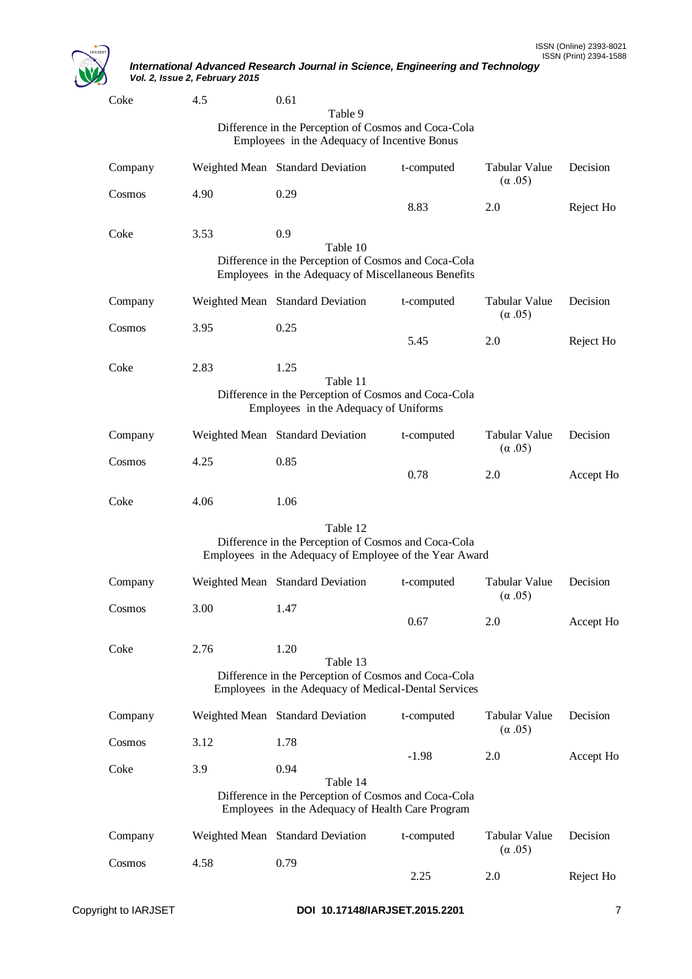

| Coke    | 4.5  | 0.61                                                                                                            |            |                                       |           |
|---------|------|-----------------------------------------------------------------------------------------------------------------|------------|---------------------------------------|-----------|
|         |      | Table 9<br>Difference in the Perception of Cosmos and Coca-Cola                                                 |            |                                       |           |
|         |      | Employees in the Adequacy of Incentive Bonus                                                                    |            |                                       |           |
| Company |      | Weighted Mean Standard Deviation                                                                                | t-computed | <b>Tabular Value</b><br>$(\alpha.05)$ | Decision  |
| Cosmos  | 4.90 | 0.29                                                                                                            |            |                                       |           |
|         |      |                                                                                                                 | 8.83       | 2.0                                   | Reject Ho |
| Coke    | 3.53 | 0.9                                                                                                             |            |                                       |           |
|         |      | Table 10                                                                                                        |            |                                       |           |
|         |      | Difference in the Perception of Cosmos and Coca-Cola<br>Employees in the Adequacy of Miscellaneous Benefits     |            |                                       |           |
|         |      |                                                                                                                 |            |                                       |           |
| Company |      | Weighted Mean Standard Deviation                                                                                | t-computed | Tabular Value<br>$(\alpha.05)$        | Decision  |
| Cosmos  | 3.95 | 0.25                                                                                                            |            |                                       |           |
|         |      |                                                                                                                 | 5.45       | 2.0                                   | Reject Ho |
| Coke    | 2.83 | 1.25                                                                                                            |            |                                       |           |
|         |      | Table 11                                                                                                        |            |                                       |           |
|         |      | Difference in the Perception of Cosmos and Coca-Cola<br>Employees in the Adequacy of Uniforms                   |            |                                       |           |
|         |      |                                                                                                                 |            |                                       |           |
| Company |      | Weighted Mean Standard Deviation                                                                                | t-computed | Tabular Value<br>$(\alpha.05)$        | Decision  |
| Cosmos  | 4.25 | 0.85                                                                                                            | 0.78       | 2.0                                   | Accept Ho |
|         |      |                                                                                                                 |            |                                       |           |
| Coke    | 4.06 | 1.06                                                                                                            |            |                                       |           |
|         |      | Table 12                                                                                                        |            |                                       |           |
|         |      | Difference in the Perception of Cosmos and Coca-Cola<br>Employees in the Adequacy of Employee of the Year Award |            |                                       |           |
| Company |      | Weighted Mean Standard Deviation                                                                                | t-computed | Tabular Value<br>$(\alpha.05)$        | Decision  |
| Cosmos  | 3.00 | 1.47                                                                                                            |            |                                       |           |
|         |      |                                                                                                                 | 0.67       | 2.0                                   | Accept Ho |
| Coke    | 2.76 | 1.20                                                                                                            |            |                                       |           |
|         |      | Table 13<br>Difference in the Perception of Cosmos and Coca-Cola                                                |            |                                       |           |
|         |      | Employees in the Adequacy of Medical-Dental Services                                                            |            |                                       |           |
| Company |      | Weighted Mean Standard Deviation                                                                                | t-computed | Tabular Value<br>$(\alpha.05)$        | Decision  |
| Cosmos  | 3.12 | 1.78                                                                                                            | $-1.98$    | 2.0                                   | Accept Ho |
| Coke    | 3.9  | 0.94                                                                                                            |            |                                       |           |
|         |      | Table 14                                                                                                        |            |                                       |           |
|         |      | Difference in the Perception of Cosmos and Coca-Cola<br>Employees in the Adequacy of Health Care Program        |            |                                       |           |
|         |      |                                                                                                                 |            |                                       |           |
| Company |      | Weighted Mean Standard Deviation                                                                                | t-computed | Tabular Value<br>$(\alpha.05)$        | Decision  |
| Cosmos  | 4.58 | 0.79                                                                                                            | 2.25       | 2.0                                   | Reject Ho |
|         |      |                                                                                                                 |            |                                       |           |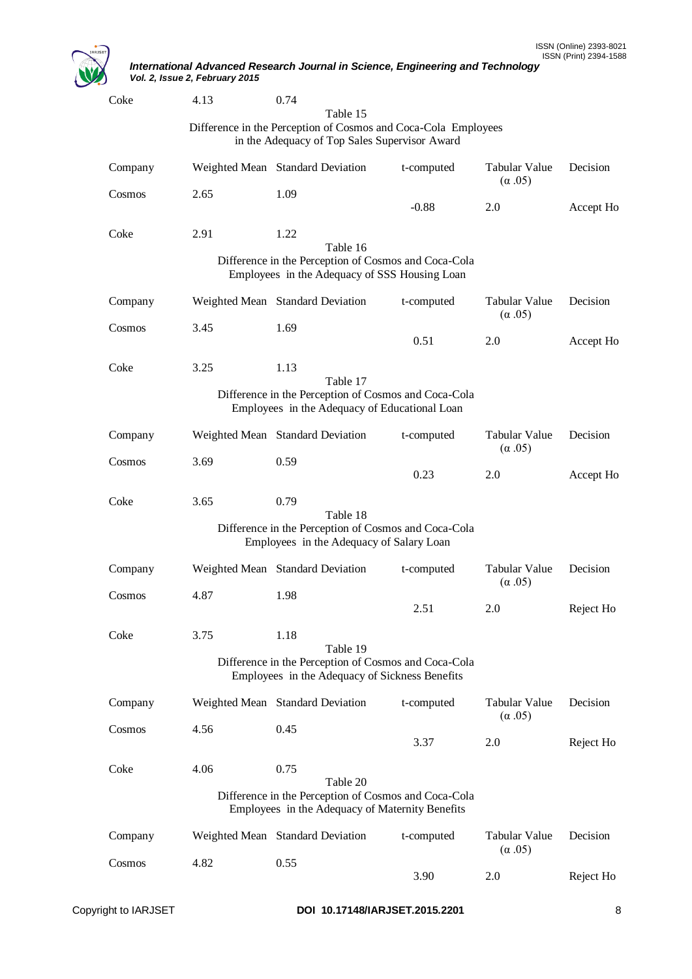

| Coke    | 4.13                             | 0.74 |                                          |                                                                                                                 |                                       |           |
|---------|----------------------------------|------|------------------------------------------|-----------------------------------------------------------------------------------------------------------------|---------------------------------------|-----------|
|         |                                  |      | Table 15                                 |                                                                                                                 |                                       |           |
|         |                                  |      |                                          | Difference in the Perception of Cosmos and Coca-Cola Employees<br>in the Adequacy of Top Sales Supervisor Award |                                       |           |
| Company | Weighted Mean Standard Deviation |      |                                          | t-computed                                                                                                      | Tabular Value<br>$(\alpha.05)$        | Decision  |
| Cosmos  | 2.65                             | 1.09 |                                          | $-0.88$                                                                                                         | 2.0                                   | Accept Ho |
| Coke    | 2.91                             | 1.22 | Table 16                                 |                                                                                                                 |                                       |           |
|         |                                  |      |                                          | Difference in the Perception of Cosmos and Coca-Cola<br>Employees in the Adequacy of SSS Housing Loan           |                                       |           |
| Company | Weighted Mean Standard Deviation |      |                                          | t-computed                                                                                                      | Tabular Value<br>$(\alpha.05)$        | Decision  |
| Cosmos  | 3.45                             | 1.69 |                                          |                                                                                                                 |                                       |           |
|         |                                  |      |                                          | 0.51                                                                                                            | 2.0                                   | Accept Ho |
| Coke    | 3.25                             | 1.13 | Table 17                                 |                                                                                                                 |                                       |           |
|         |                                  |      |                                          | Difference in the Perception of Cosmos and Coca-Cola<br>Employees in the Adequacy of Educational Loan           |                                       |           |
| Company | Weighted Mean Standard Deviation |      |                                          | t-computed                                                                                                      | Tabular Value<br>$(\alpha.05)$        | Decision  |
| Cosmos  | 3.69                             | 0.59 |                                          | 0.23                                                                                                            | 2.0                                   | Accept Ho |
| Coke    | 3.65                             | 0.79 | Table 18                                 |                                                                                                                 |                                       |           |
|         |                                  |      | Employees in the Adequacy of Salary Loan | Difference in the Perception of Cosmos and Coca-Cola                                                            |                                       |           |
| Company | Weighted Mean Standard Deviation |      |                                          | t-computed                                                                                                      | Tabular Value<br>$(\alpha.05)$        | Decision  |
| Cosmos  | 4.87                             | 1.98 |                                          |                                                                                                                 |                                       |           |
|         |                                  |      |                                          | 2.51                                                                                                            | 2.0                                   | Reject Ho |
| Coke    | 3.75                             | 1.18 | Table 19                                 |                                                                                                                 |                                       |           |
|         |                                  |      |                                          | Difference in the Perception of Cosmos and Coca-Cola<br>Employees in the Adequacy of Sickness Benefits          |                                       |           |
| Company | Weighted Mean Standard Deviation |      |                                          | t-computed                                                                                                      | <b>Tabular Value</b><br>$(\alpha.05)$ | Decision  |
| Cosmos  | 4.56                             | 0.45 |                                          | 3.37                                                                                                            | 2.0                                   | Reject Ho |
| Coke    | 4.06                             | 0.75 | Table 20                                 |                                                                                                                 |                                       |           |
|         |                                  |      |                                          | Difference in the Perception of Cosmos and Coca-Cola<br>Employees in the Adequacy of Maternity Benefits         |                                       |           |
| Company | Weighted Mean Standard Deviation |      |                                          | t-computed                                                                                                      | Tabular Value<br>$(\alpha.05)$        | Decision  |
| Cosmos  | 4.82                             | 0.55 |                                          | 3.90                                                                                                            | 2.0                                   | Reject Ho |
|         |                                  |      |                                          |                                                                                                                 |                                       |           |